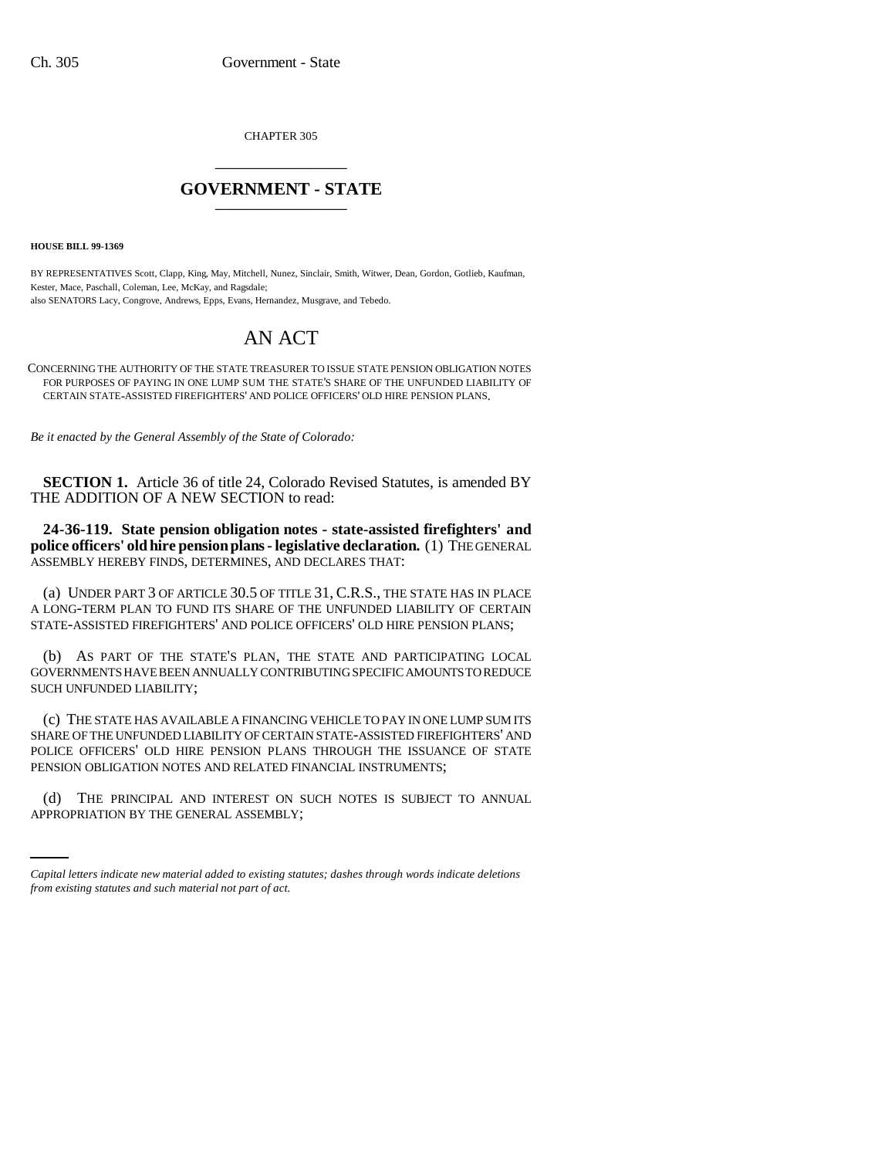CHAPTER 305 \_\_\_\_\_\_\_\_\_\_\_\_\_\_\_

## **GOVERNMENT - STATE** \_\_\_\_\_\_\_\_\_\_\_\_\_\_\_

**HOUSE BILL 99-1369**

BY REPRESENTATIVES Scott, Clapp, King, May, Mitchell, Nunez, Sinclair, Smith, Witwer, Dean, Gordon, Gotlieb, Kaufman, Kester, Mace, Paschall, Coleman, Lee, McKay, and Ragsdale; also SENATORS Lacy, Congrove, Andrews, Epps, Evans, Hernandez, Musgrave, and Tebedo.

## AN ACT

CONCERNING THE AUTHORITY OF THE STATE TREASURER TO ISSUE STATE PENSION OBLIGATION NOTES FOR PURPOSES OF PAYING IN ONE LUMP SUM THE STATE'S SHARE OF THE UNFUNDED LIABILITY OF CERTAIN STATE-ASSISTED FIREFIGHTERS' AND POLICE OFFICERS' OLD HIRE PENSION PLANS.

*Be it enacted by the General Assembly of the State of Colorado:*

**SECTION 1.** Article 36 of title 24, Colorado Revised Statutes, is amended BY THE ADDITION OF A NEW SECTION to read:

**24-36-119. State pension obligation notes - state-assisted firefighters' and police officers' old hire pension plans - legislative declaration.** (1) THE GENERAL ASSEMBLY HEREBY FINDS, DETERMINES, AND DECLARES THAT:

(a) UNDER PART 3 OF ARTICLE 30.5 OF TITLE 31, C.R.S., THE STATE HAS IN PLACE A LONG-TERM PLAN TO FUND ITS SHARE OF THE UNFUNDED LIABILITY OF CERTAIN STATE-ASSISTED FIREFIGHTERS' AND POLICE OFFICERS' OLD HIRE PENSION PLANS;

(b) AS PART OF THE STATE'S PLAN, THE STATE AND PARTICIPATING LOCAL GOVERNMENTS HAVE BEEN ANNUALLY CONTRIBUTING SPECIFIC AMOUNTS TO REDUCE SUCH UNFUNDED LIABILITY;

(c) THE STATE HAS AVAILABLE A FINANCING VEHICLE TO PAY IN ONE LUMP SUM ITS SHARE OF THE UNFUNDED LIABILITY OF CERTAIN STATE-ASSISTED FIREFIGHTERS' AND POLICE OFFICERS' OLD HIRE PENSION PLANS THROUGH THE ISSUANCE OF STATE PENSION OBLIGATION NOTES AND RELATED FINANCIAL INSTRUMENTS;

(d) THE PRINCIPAL AND INTEREST ON SUCH NOTES IS SUBJECT TO ANNUAL APPROPRIATION BY THE GENERAL ASSEMBLY;

*Capital letters indicate new material added to existing statutes; dashes through words indicate deletions from existing statutes and such material not part of act.*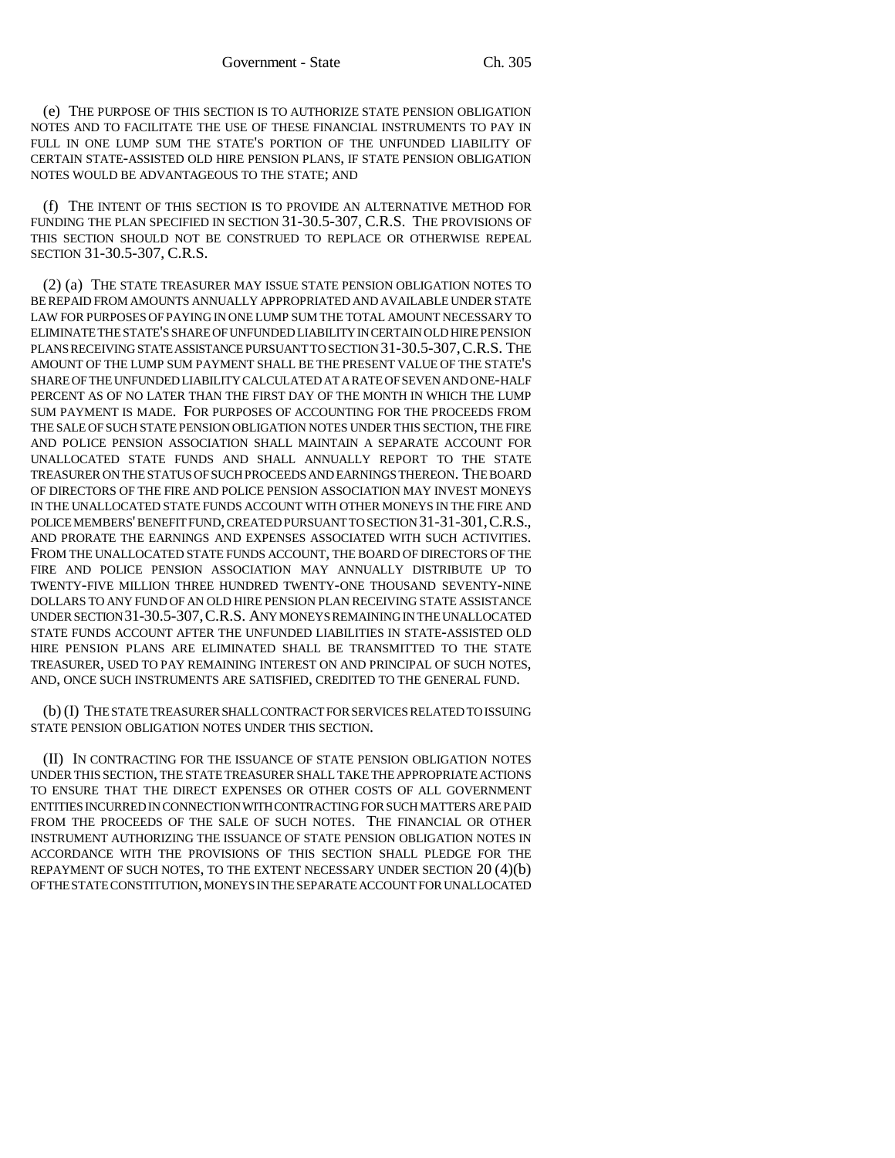(e) THE PURPOSE OF THIS SECTION IS TO AUTHORIZE STATE PENSION OBLIGATION NOTES AND TO FACILITATE THE USE OF THESE FINANCIAL INSTRUMENTS TO PAY IN FULL IN ONE LUMP SUM THE STATE'S PORTION OF THE UNFUNDED LIABILITY OF CERTAIN STATE-ASSISTED OLD HIRE PENSION PLANS, IF STATE PENSION OBLIGATION NOTES WOULD BE ADVANTAGEOUS TO THE STATE; AND

(f) THE INTENT OF THIS SECTION IS TO PROVIDE AN ALTERNATIVE METHOD FOR FUNDING THE PLAN SPECIFIED IN SECTION 31-30.5-307, C.R.S. THE PROVISIONS OF THIS SECTION SHOULD NOT BE CONSTRUED TO REPLACE OR OTHERWISE REPEAL SECTION 31-30.5-307, C.R.S.

(2) (a) THE STATE TREASURER MAY ISSUE STATE PENSION OBLIGATION NOTES TO BE REPAID FROM AMOUNTS ANNUALLY APPROPRIATED AND AVAILABLE UNDER STATE LAW FOR PURPOSES OF PAYING IN ONE LUMP SUM THE TOTAL AMOUNT NECESSARY TO ELIMINATE THE STATE'S SHARE OF UNFUNDED LIABILITY IN CERTAIN OLD HIRE PENSION PLANS RECEIVING STATE ASSISTANCE PURSUANT TO SECTION 31-30.5-307,C.R.S. THE AMOUNT OF THE LUMP SUM PAYMENT SHALL BE THE PRESENT VALUE OF THE STATE'S SHARE OF THE UNFUNDED LIABILITY CALCULATED AT A RATE OF SEVEN AND ONE-HALF PERCENT AS OF NO LATER THAN THE FIRST DAY OF THE MONTH IN WHICH THE LUMP SUM PAYMENT IS MADE. FOR PURPOSES OF ACCOUNTING FOR THE PROCEEDS FROM THE SALE OF SUCH STATE PENSION OBLIGATION NOTES UNDER THIS SECTION, THE FIRE AND POLICE PENSION ASSOCIATION SHALL MAINTAIN A SEPARATE ACCOUNT FOR UNALLOCATED STATE FUNDS AND SHALL ANNUALLY REPORT TO THE STATE TREASURER ON THE STATUS OF SUCH PROCEEDS AND EARNINGS THEREON. THE BOARD OF DIRECTORS OF THE FIRE AND POLICE PENSION ASSOCIATION MAY INVEST MONEYS IN THE UNALLOCATED STATE FUNDS ACCOUNT WITH OTHER MONEYS IN THE FIRE AND POLICE MEMBERS' BENEFIT FUND, CREATED PURSUANT TO SECTION 31-31-301,C.R.S., AND PRORATE THE EARNINGS AND EXPENSES ASSOCIATED WITH SUCH ACTIVITIES. FROM THE UNALLOCATED STATE FUNDS ACCOUNT, THE BOARD OF DIRECTORS OF THE FIRE AND POLICE PENSION ASSOCIATION MAY ANNUALLY DISTRIBUTE UP TO TWENTY-FIVE MILLION THREE HUNDRED TWENTY-ONE THOUSAND SEVENTY-NINE DOLLARS TO ANY FUND OF AN OLD HIRE PENSION PLAN RECEIVING STATE ASSISTANCE UNDER SECTION 31-30.5-307,C.R.S. ANY MONEYS REMAINING IN THE UNALLOCATED STATE FUNDS ACCOUNT AFTER THE UNFUNDED LIABILITIES IN STATE-ASSISTED OLD HIRE PENSION PLANS ARE ELIMINATED SHALL BE TRANSMITTED TO THE STATE TREASURER, USED TO PAY REMAINING INTEREST ON AND PRINCIPAL OF SUCH NOTES, AND, ONCE SUCH INSTRUMENTS ARE SATISFIED, CREDITED TO THE GENERAL FUND.

(b) (I) THE STATE TREASURER SHALL CONTRACT FOR SERVICES RELATED TO ISSUING STATE PENSION OBLIGATION NOTES UNDER THIS SECTION.

(II) IN CONTRACTING FOR THE ISSUANCE OF STATE PENSION OBLIGATION NOTES UNDER THIS SECTION, THE STATE TREASURER SHALL TAKE THE APPROPRIATE ACTIONS TO ENSURE THAT THE DIRECT EXPENSES OR OTHER COSTS OF ALL GOVERNMENT ENTITIES INCURRED IN CONNECTION WITH CONTRACTING FOR SUCH MATTERS ARE PAID FROM THE PROCEEDS OF THE SALE OF SUCH NOTES. THE FINANCIAL OR OTHER INSTRUMENT AUTHORIZING THE ISSUANCE OF STATE PENSION OBLIGATION NOTES IN ACCORDANCE WITH THE PROVISIONS OF THIS SECTION SHALL PLEDGE FOR THE REPAYMENT OF SUCH NOTES, TO THE EXTENT NECESSARY UNDER SECTION 20 (4)(b) OF THE STATE CONSTITUTION, MONEYS IN THE SEPARATE ACCOUNT FOR UNALLOCATED